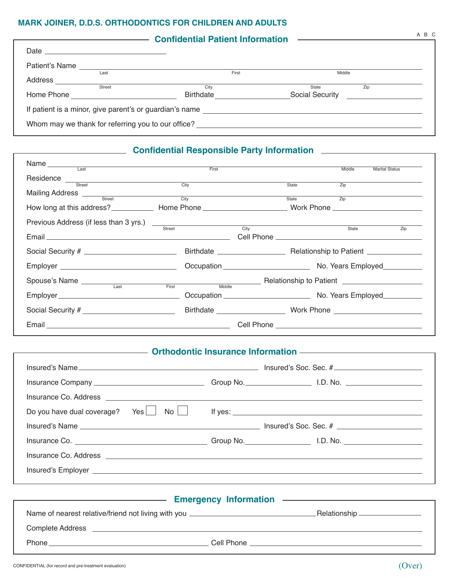### **Mark Joiner, D.D.S. Orthodontics for children and adults**

|                                                         |               | <b>Confidential Patient Information</b> | <u> 1980 - Andrea Maria Alemania, prima alemaniar populari est</u> | A B C |
|---------------------------------------------------------|---------------|-----------------------------------------|--------------------------------------------------------------------|-------|
| Date $\overline{\phantom{a}}$                           |               |                                         |                                                                    |       |
| Patient's Name                                          |               |                                         |                                                                    |       |
|                                                         | Last          | First                                   | Middle                                                             |       |
| Address                                                 | <b>Street</b> | City                                    | State                                                              | Zip   |
| Home Phone                                              |               | Birthdate                               | Social Security                                                    |       |
| If patient is a minor, give parent's or guardian's name |               |                                         |                                                                    |       |
| Whom may we thank for referring you to our office?      |               |                                         |                                                                    |       |

### **Confidential Responsible Party Information CONFIDENTIAL CONFIDENTIAL CONFIDENT**

| Name and the state of the state of the state of the state of the state of the state of the state of the state of the state of the state of the state of the state of the state of the state of the state of the state of the s |      | First                |             | Middle            | <b>Marital Status</b> |
|--------------------------------------------------------------------------------------------------------------------------------------------------------------------------------------------------------------------------------|------|----------------------|-------------|-------------------|-----------------------|
| Residence                                                                                                                                                                                                                      |      |                      |             |                   |                       |
| Street <b>Street</b>                                                                                                                                                                                                           | City |                      | State       | $\overline{Zip}$  |                       |
| Mailing Address <u>Fire and Street City</u>                                                                                                                                                                                    |      |                      | State State | $\overline{Z}$ ip |                       |
|                                                                                                                                                                                                                                |      |                      |             |                   |                       |
| Previous Address (if less than 3 yrs.)<br>Street City                                                                                                                                                                          |      |                      |             |                   |                       |
|                                                                                                                                                                                                                                |      |                      |             | State             | Zip                   |
|                                                                                                                                                                                                                                |      |                      |             |                   |                       |
|                                                                                                                                                                                                                                |      |                      |             |                   |                       |
| Spouse's Name<br>Last First Middle Relationship to Patient  Last Last First Middle                                                                                                                                             |      |                      |             |                   |                       |
|                                                                                                                                                                                                                                |      |                      |             |                   |                       |
| Social Security #                                                                                                                                                                                                              |      | Birthdate Mork Phone |             |                   |                       |
|                                                                                                                                                                                                                                |      |                      |             |                   |                       |

#### **Continued Article Insurance Information CONSUMING ARTICLE INCORPORATION**

| Insurance Co. Address <u>experience</u> and the contract of the contract of the contract of the contract of the contract of the contract of the contract of the contract of the contract of the contract of the contract of the con  |                         |
|--------------------------------------------------------------------------------------------------------------------------------------------------------------------------------------------------------------------------------------|-------------------------|
| $\mathsf{No} \mid \mid$<br>Yes<br>Do you have dual coverage?                                                                                                                                                                         | If yes: $\sqrt{2\pi r}$ |
| Insured's Name <b>the Contract of the Contract of Contract Contract of Contract Oriental Contract Oriental Contract Oriental Contract of the Contract Oriental Contract of the Contract Oriental Contract of the Contract Orient</b> |                         |
|                                                                                                                                                                                                                                      |                         |
|                                                                                                                                                                                                                                      |                         |
|                                                                                                                                                                                                                                      |                         |
|                                                                                                                                                                                                                                      |                         |

|                         | <b>Emergency Information</b>                                                     | the contract of the contract of the contract of the contract of the contract of |
|-------------------------|----------------------------------------------------------------------------------|---------------------------------------------------------------------------------|
|                         | Name of nearest relative/friend not living with you ____________________________ | Relationship _________________                                                  |
| <b>Complete Address</b> |                                                                                  |                                                                                 |
| <b>Phone</b>            | Cell Phone                                                                       |                                                                                 |